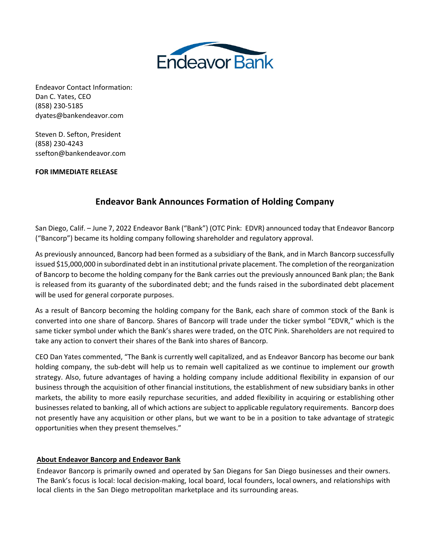

Endeavor Contact Information: Dan C. Yates, CEO (858) 230-5185 dyates@bankendeavor.com

Steven D. Sefton, President (858) 230-4243 ssefton@bankendeavor.com

## **FOR IMMEDIATE RELEASE**

# **Endeavor Bank Announces Formation of Holding Company**

San Diego, Calif. – June 7, 2022 Endeavor Bank ("Bank") (OTC Pink: EDVR) announced today that Endeavor Bancorp ("Bancorp") became its holding company following shareholder and regulatory approval.

As previously announced, Bancorp had been formed as a subsidiary of the Bank, and in March Bancorp successfully issued \$15,000,000 in subordinated debt in an institutional private placement. The completion of the reorganization of Bancorp to become the holding company for the Bank carries out the previously announced Bank plan; the Bank is released from its guaranty of the subordinated debt; and the funds raised in the subordinated debt placement will be used for general corporate purposes.

As a result of Bancorp becoming the holding company for the Bank, each share of common stock of the Bank is converted into one share of Bancorp. Shares of Bancorp will trade under the ticker symbol "EDVR," which is the same ticker symbol under which the Bank's shares were traded, on the OTC Pink. Shareholders are not required to take any action to convert their shares of the Bank into shares of Bancorp.

CEO Dan Yates commented, "The Bank is currently well capitalized, and as Endeavor Bancorp has become our bank holding company, the sub-debt will help us to remain well capitalized as we continue to implement our growth strategy. Also, future advantages of having a holding company include additional flexibility in expansion of our business through the acquisition of other financial institutions, the establishment of new subsidiary banks in other markets, the ability to more easily repurchase securities, and added flexibility in acquiring or establishing other businesses related to banking, all of which actions are subject to applicable regulatory requirements. Bancorp does not presently have any acquisition or other plans, but we want to be in a position to take advantage of strategic opportunities when they present themselves."

## **About Endeavor Bancorp and Endeavor Bank**

Endeavor Bancorp is primarily owned and operated by San Diegans for San Diego businesses and their owners. The Bank's focus is local: local decision-making, local board, local founders, local owners, and relationships with local clients in the San Diego metropolitan marketplace and its surrounding areas.